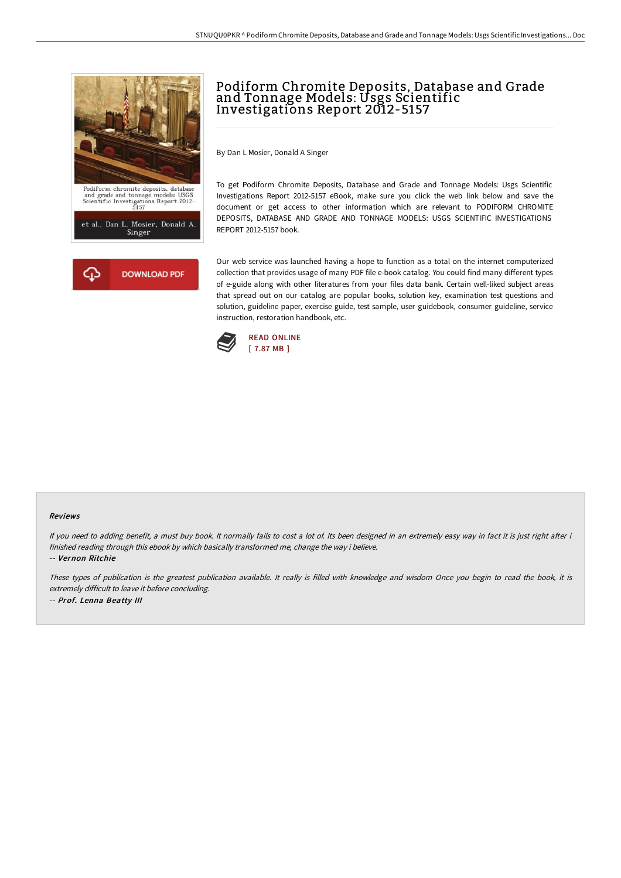



# Podiform Chromite Deposits, Database and Grade and Tonnage Models: Usgs Scientific Investigations Report 2012-5157

By Dan L Mosier, Donald A Singer

To get Podiform Chromite Deposits, Database and Grade and Tonnage Models: Usgs Scientific Investigations Report 2012-5157 eBook, make sure you click the web link below and save the document or get access to other information which are relevant to PODIFORM CHROMITE DEPOSITS, DATABASE AND GRADE AND TONNAGE MODELS: USGS SCIENTIFIC INVESTIGATIONS REPORT 2012-5157 book.

Our web service was launched having a hope to function as a total on the internet computerized collection that provides usage of many PDF file e-book catalog. You could find many different types of e-guide along with other literatures from your files data bank. Certain well-liked subject areas that spread out on our catalog are popular books, solution key, examination test questions and solution, guideline paper, exercise guide, test sample, user guidebook, consumer guideline, service instruction, restoration handbook, etc.



#### Reviews

If you need to adding benefit, a must buy book. It normally fails to cost a lot of. Its been designed in an extremely easy way in fact it is just right after i finished reading through this ebook by which basically transformed me, change the way i believe.

-- Vernon Ritchie

These types of publication is the greatest publication available. It really is filled with knowledge and wisdom Once you begin to read the book, it is extremely difficult to leave it before concluding. -- Prof. Lenna Beatty III